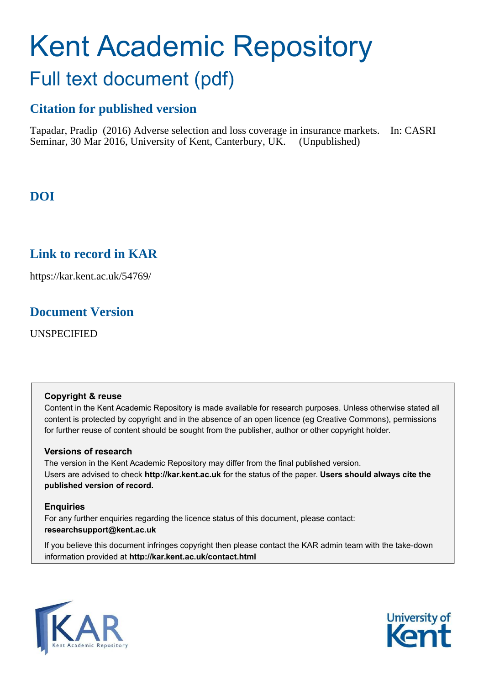# Kent Academic Repository Full text document (pdf)

### **Citation for published version**

Tapadar, Pradip (2016) Adverse selection and loss coverage in insurance markets. In: CASRI Seminar, 30 Mar 2016, University of Kent, Canterbury, UK. (Unpublished)

## **DOI**

### <span id="page-0-0"></span>**Link to record in KAR**

https://kar.kent.ac.uk/54769/

### **Document Version**

UNSPECIFIED

#### **Copyright & reuse**

Content in the Kent Academic Repository is made available for research purposes. Unless otherwise stated all content is protected by copyright and in the absence of an open licence (eg Creative Commons), permissions for further reuse of content should be sought from the publisher, author or other copyright holder.

#### **Versions of research**

The version in the Kent Academic Repository may differ from the final published version. Users are advised to check **http://kar.kent.ac.uk** for the status of the paper. **Users should always cite the published version of record.**

#### **Enquiries**

For any further enquiries regarding the licence status of this document, please contact: **researchsupport@kent.ac.uk**

If you believe this document infringes copyright then please contact the KAR admin team with the take-down information provided at **http://kar.kent.ac.uk/contact.html**



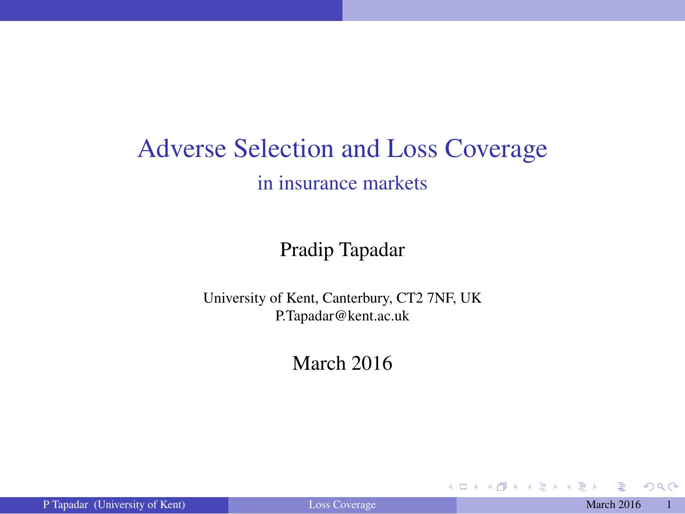### Adverse Selection and Loss Coverage in insurance markets

#### Pradip Tapadar

University of Kent, Canterbury, CT2 7NF, UK P.Tapadar@kent.ac.uk

#### March 2016

イロト イ押 トイヨ トイヨト

<span id="page-1-0"></span> $QQ$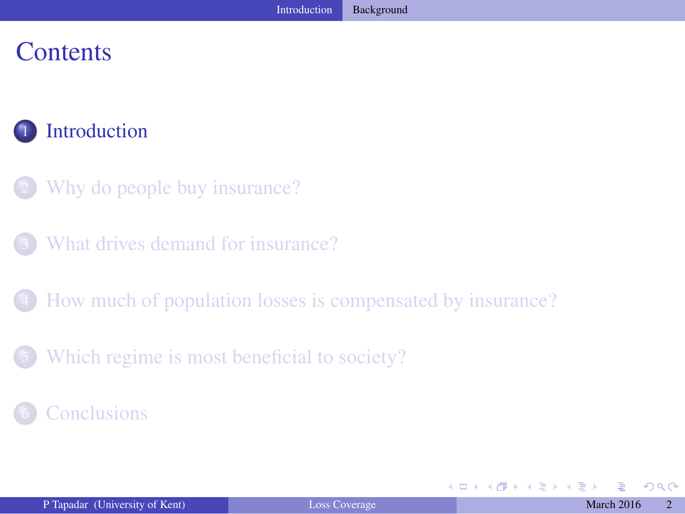#### **Contents**

#### **[Introduction](#page-1-0)**

- [Why do people buy insurance?](#page-5-0)
- [What drives demand for insurance?](#page-11-0)
- 4 [How much of population losses is compensated by insurance?](#page-17-0)
- [Which regime is most beneficial to society?](#page-26-0)

#### **[Conclusions](#page-28-0)**

(□ ) ( )

医头尾菌

<span id="page-2-0"></span> $QQ$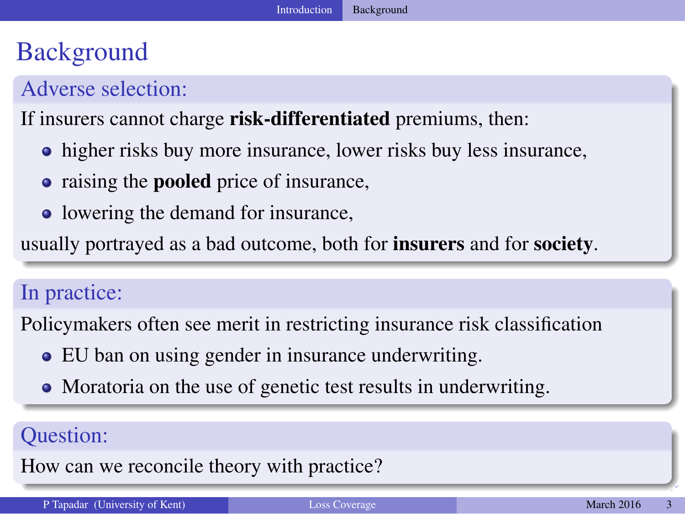### **Background**

#### Adverse selection:

#### If insurers cannot charge risk-differentiated premiums, then:

- higher risks buy more insurance, lower risks buy less insurance,
- raising the **pooled** price of insurance,
- lowering the demand for insurance,

usually portrayed as a bad outcome, both for insurers and for society.

#### In practice:

Policymakers often see merit in restricting insurance risk classification

- EU ban on using gender in insurance underwriting.
- <span id="page-3-0"></span>• Moratoria on the use of genetic test results in underwriting.

#### Question:

How can we reconcile theory with practice?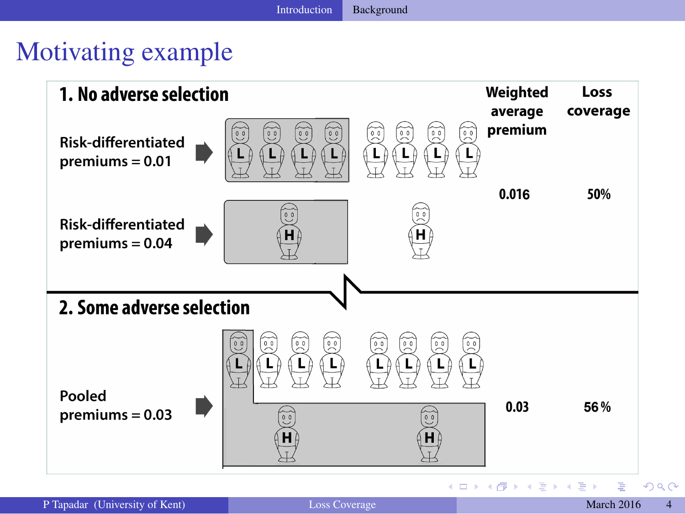<span id="page-4-0"></span>

### Motivating example

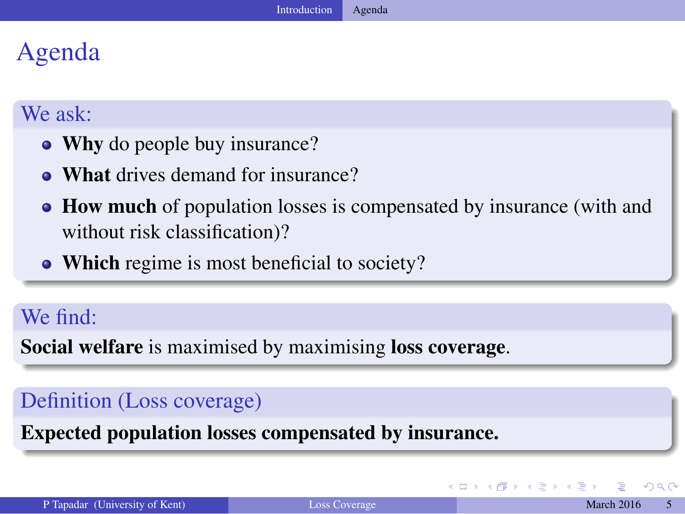### Agenda

#### We ask:

- Why do people buy insurance?
- What drives demand for insurance?
- How much of population losses is compensated by insurance (with and without risk classification)?
- Which regime is most beneficial to society?

#### We find:

Social welfare is maximised by maximising loss coverage.

#### Definition (Loss coverage)

<span id="page-5-0"></span>Expected population losses compensated by insurance.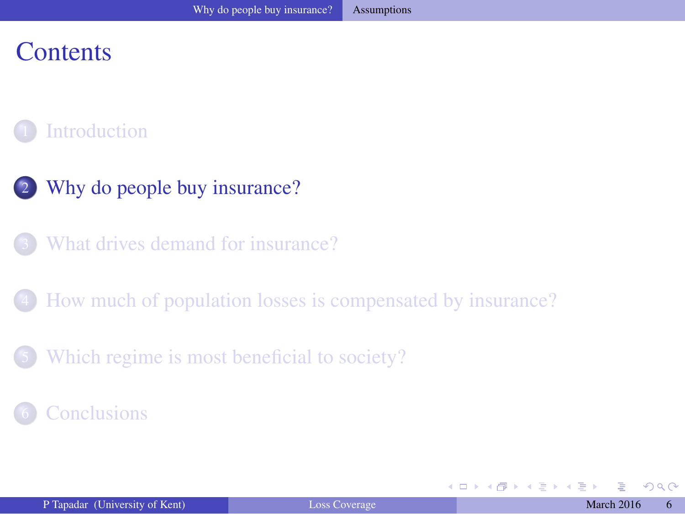### **Contents**

#### **[Introduction](#page-1-0)**

- 2 [Why do people buy insurance?](#page-5-0)
	- [What drives demand for insurance?](#page-11-0)
- 4 [How much of population losses is compensated by insurance?](#page-17-0)
- [Which regime is most beneficial to society?](#page-26-0)

#### **[Conclusions](#page-28-0)**

(□ ) ( )

<span id="page-6-0"></span> $\Omega$ 

医头尾菌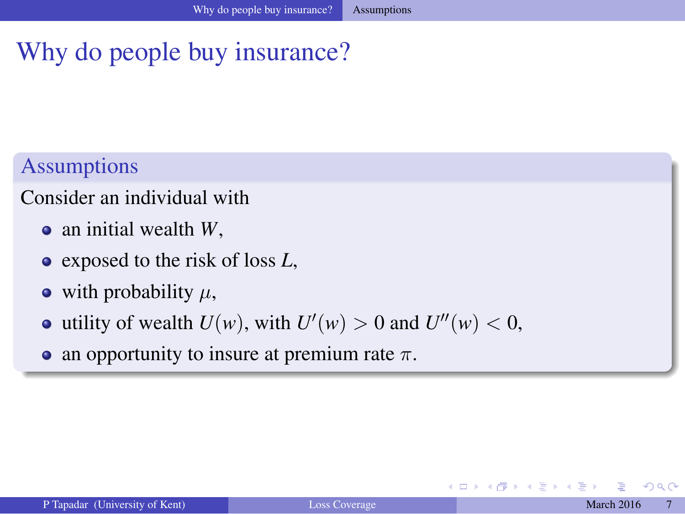### Why do people buy insurance?

#### Assumptions

#### Consider an individual with

- an initial wealth *W*,
- exposed to the risk of loss *L*,
- with probability  $\mu$ ,
- utility of wealth  $U(w)$ , with  $U'(w) > 0$  and  $U''(w) < 0$ ,
- an opportunity to insure at premium rate  $\pi$ .

<span id="page-7-0"></span>4 D F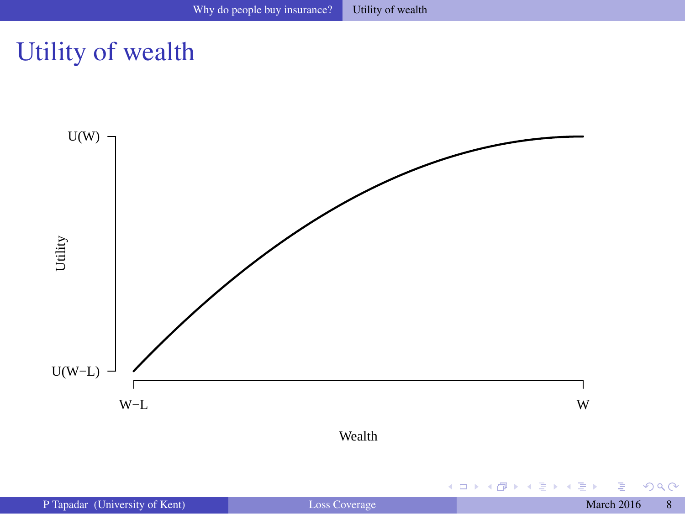### Utility of wealth

<span id="page-8-0"></span>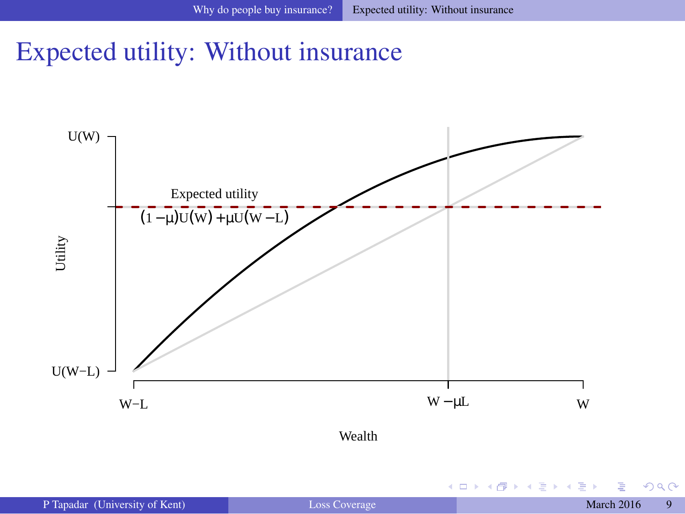### Expected utility: Without insurance



**←ロト ← 何** 

ヨメ イヨ ×

<span id="page-9-0"></span> $299$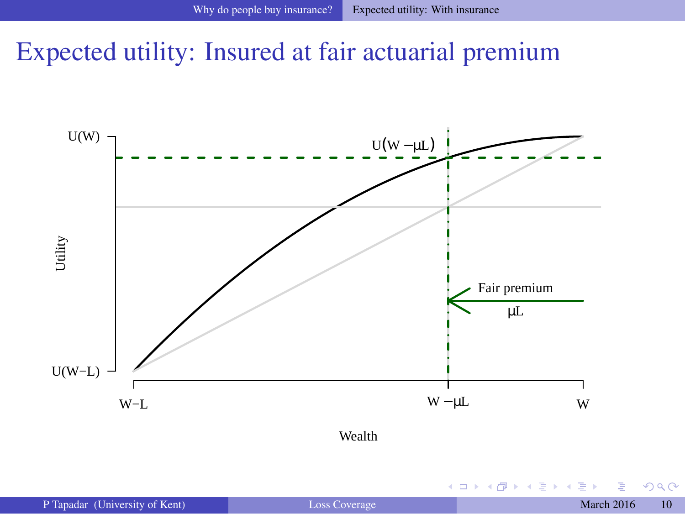### Expected utility: Insured at fair actuarial premium





(□ ) ( )

÷.  $\blacktriangleright$   $\blacktriangleleft$  <span id="page-10-0"></span> $299$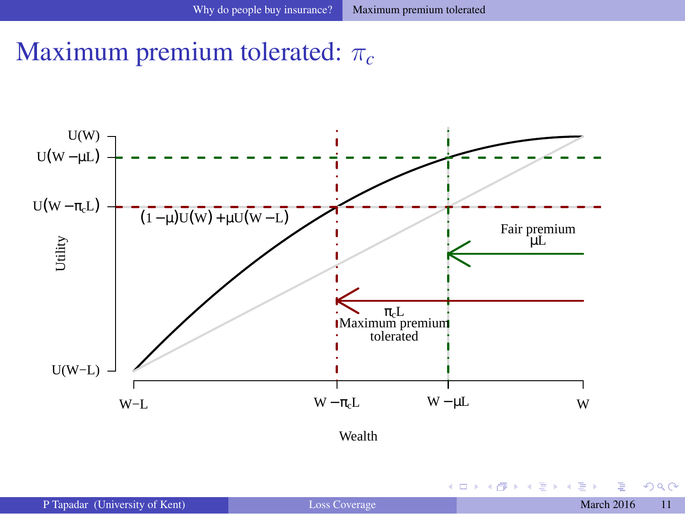### Maximum premium tolerated: π*<sup>c</sup>*





**←ロト ← 何** 

<span id="page-11-0"></span> $299$ 

おす者 おす者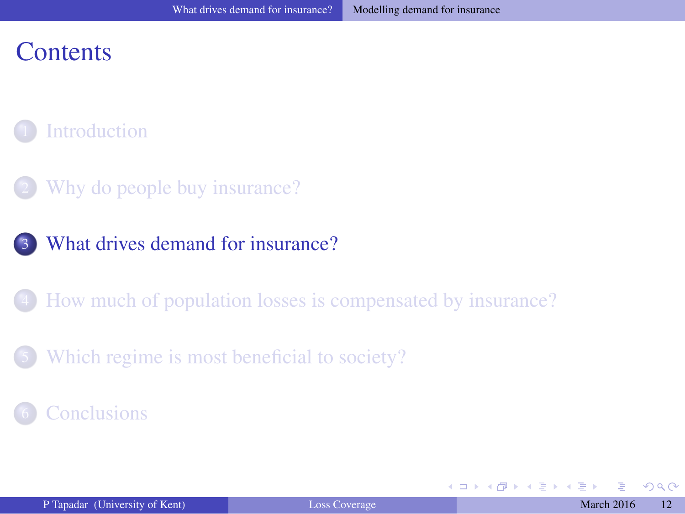#### **Contents**

#### **[Introduction](#page-1-0)**

- [Why do people buy insurance?](#page-5-0)
- 3 [What drives demand for insurance?](#page-11-0)
- 4 [How much of population losses is compensated by insurance?](#page-17-0)
- [Which regime is most beneficial to society?](#page-26-0)

#### **[Conclusions](#page-28-0)**

<span id="page-12-0"></span>(□ ) ( )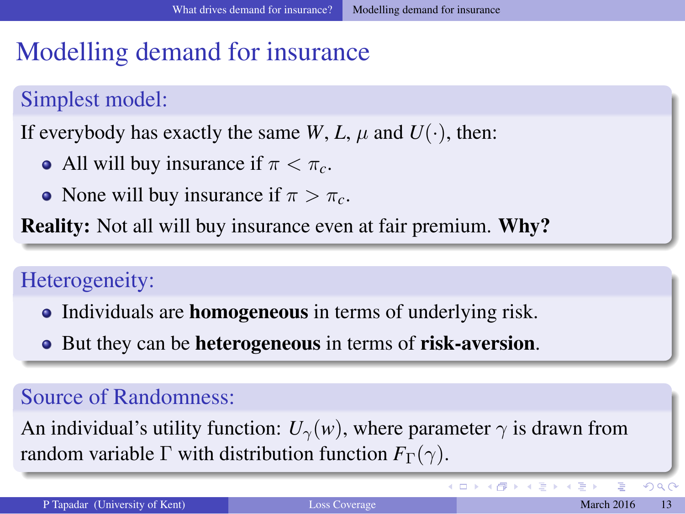### Modelling demand for insurance

#### Simplest model:

If everybody has exactly the same *W*, *L*,  $\mu$  and  $U(\cdot)$ , then:

- All will buy insurance if  $\pi < \pi_c$ .
- None will buy insurance if  $\pi > \pi_c$ .

Reality: Not all will buy insurance even at fair premium. Why?

#### Heterogeneity:

- Individuals are **homogeneous** in terms of underlying risk.
- But they can be **heterogeneous** in terms of **risk-aversion**.

#### Source of Randomness:

An individual's utility function:  $U_{\gamma}(w)$ , where parameter  $\gamma$  is drawn from random variable  $\Gamma$  with distribution function  $F_{\Gamma}(\gamma)$ .

**K ロ ▶ K 何 ▶ K ヨ ▶ K** 

<span id="page-13-0"></span> $QQ$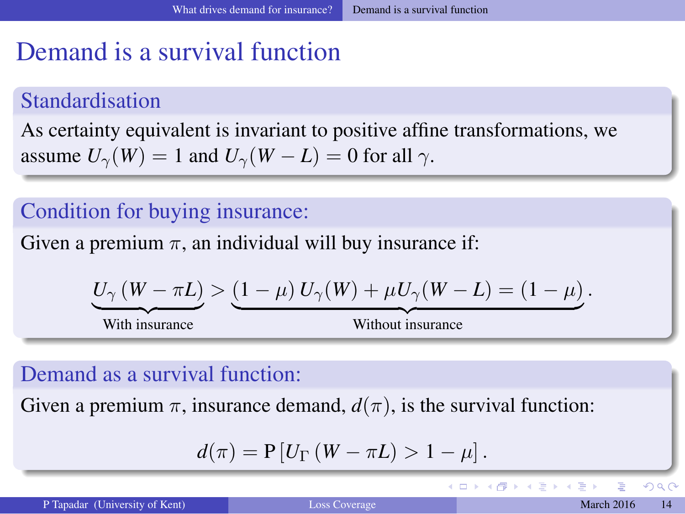### Demand is a survival function

#### Standardisation

As certainty equivalent is invariant to positive affine transformations, we assume  $U_\gamma(W) = 1$  and  $U_\gamma(W - L) = 0$  for all  $\gamma$ .

#### Condition for buying insurance:

Given a premium  $\pi$ , an individual will buy insurance if:

$$
\underbrace{U_{\gamma}(W-\pi L)}_{\text{With insurance}} > \underbrace{(1-\mu) U_{\gamma}(W) + \mu U_{\gamma}(W-L)}_{\text{Without insurance}} = (1-\mu).
$$

#### Demand as a survival function:

Given a premium  $\pi$ , insurance demand,  $d(\pi)$ , is the survival function:

$$
d(\pi) = P[U_{\Gamma}(W - \pi L) > 1 - \mu].
$$

<span id="page-14-0"></span> $\Omega$ 

イロト イ押 トイヨ トイヨト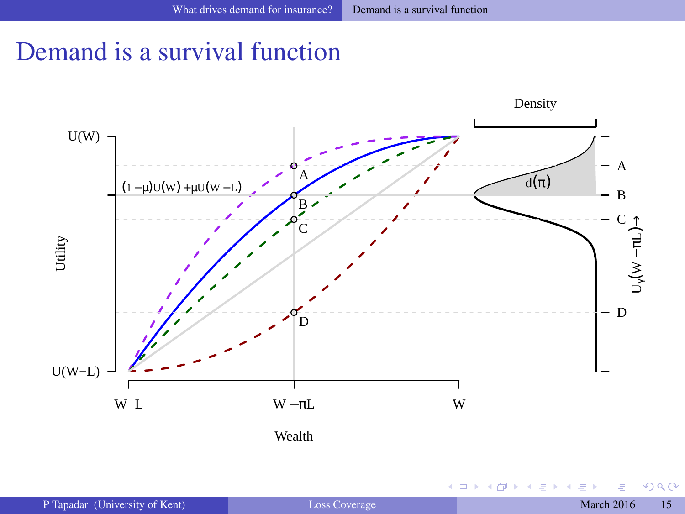### Demand is a survival function



4 0 8

<span id="page-15-0"></span> $299$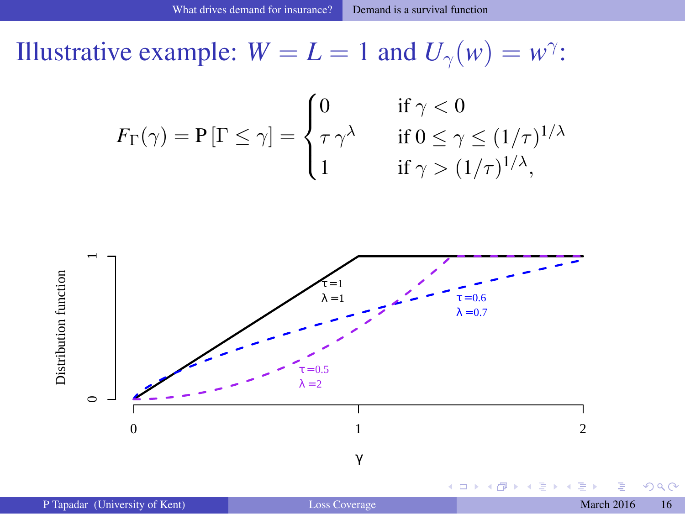Illustrative example:  $W = L = 1$  and  $U_{\gamma}(w) = w^{\gamma}$ :

$$
F_{\Gamma}(\gamma) = P[\Gamma \le \gamma] = \begin{cases} 0 & \text{if } \gamma < 0 \\ \tau \gamma^{\lambda} & \text{if } 0 \le \gamma \le (1/\tau)^{1/\lambda} \\ 1 & \text{if } \gamma > (1/\tau)^{1/\lambda}, \end{cases}
$$



<span id="page-16-0"></span> $299$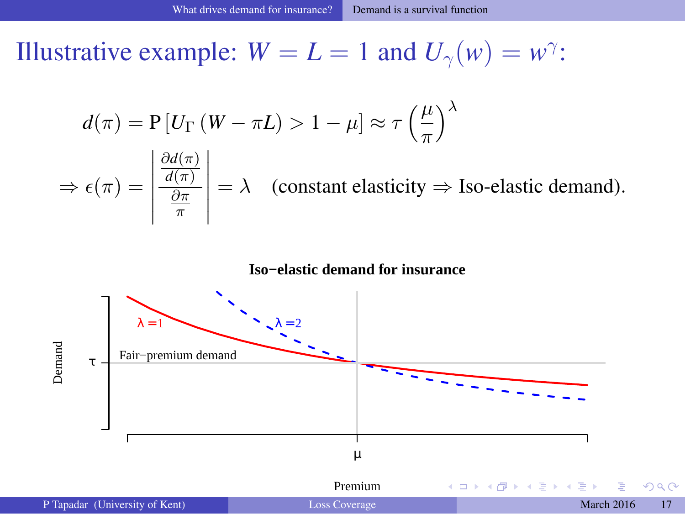Illustrative example:  $W = L = 1$  and  $U_{\gamma}(w) = w^{\gamma}$ :

$$
d(\pi) = \mathbf{P}[U_{\Gamma} (W - \pi L) > 1 - \mu] \approx \tau \left(\frac{\mu}{\pi}\right)^{\lambda}
$$

$$
\frac{\partial d(\pi)}{\partial \mu}
$$

$$
\Rightarrow \epsilon(\pi) = \left| \frac{\frac{\partial a(\pi)}{\partial \pi}}{\frac{\partial \pi}{\pi}} \right| = \lambda \quad \text{(constant elasticity} \Rightarrow \text{Iso-elastic demand)}.
$$

#### <span id="page-17-0"></span>**Iso−elastic demand for insurance**



|                                | Premium              |  |  |                   |  |
|--------------------------------|----------------------|--|--|-------------------|--|
| P Tapadar (University of Kent) | <b>Loss Coverage</b> |  |  | <b>March 2016</b> |  |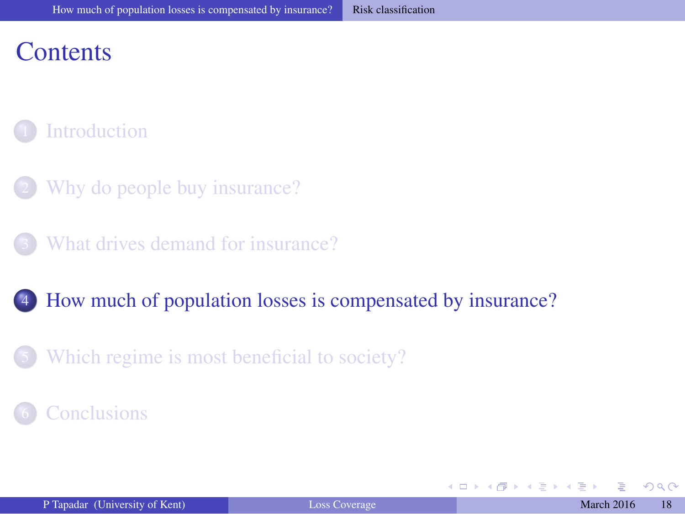### **Contents**

#### **[Introduction](#page-1-0)**

- [Why do people buy insurance?](#page-5-0)
- [What drives demand for insurance?](#page-11-0)

#### 4 [How much of population losses is compensated by insurance?](#page-17-0)

[Which regime is most beneficial to society?](#page-26-0)

#### **[Conclusions](#page-28-0)**

<span id="page-18-0"></span>(□ ) ( )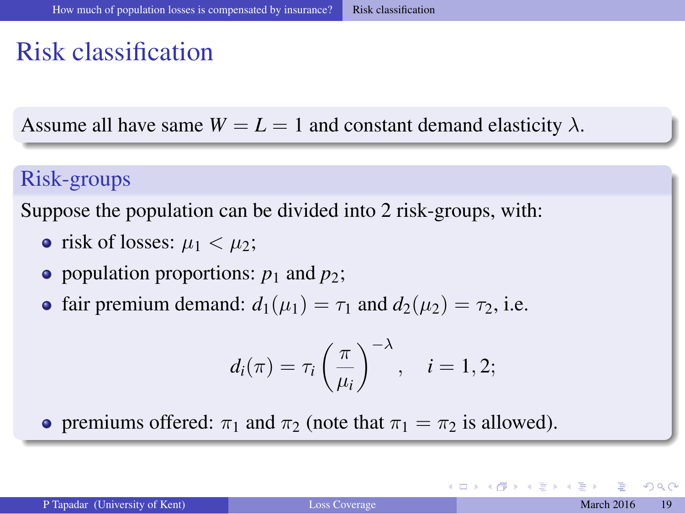### Risk classification

Assume all have same  $W = L = 1$  and constant demand elasticity  $\lambda$ .

#### Risk-groups

Suppose the population can be divided into 2 risk-groups, with:

- risk of losses:  $\mu_1 < \mu_2$ ;
- population proportions:  $p_1$  and  $p_2$ ;
- fair premium demand:  $d_1(\mu_1) = \tau_1$  and  $d_2(\mu_2) = \tau_2$ , i.e.

$$
d_i(\pi) = \tau_i \left(\frac{\pi}{\mu_i}\right)^{-\lambda}, \quad i = 1, 2;
$$

**•** premiums offered:  $\pi_1$  and  $\pi_2$  (note that  $\pi_1 = \pi_2$  is allowed).

<span id="page-19-0"></span> $\Omega$ 

イロト イ母 トイヨ トイヨ)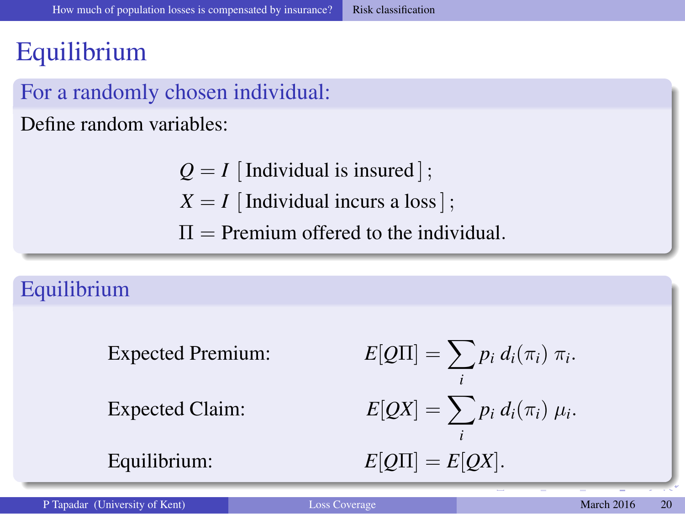### **Equilibrium**

#### For a randomly chosen individual:

Define random variables:

- $Q = I$  [Individual is insured];  $X = I$  [Individual incurs a loss];
- $\Pi$  = Premium offered to the individual.

#### Equilibrium

Expected Premium:

Expected Claim:

 $Equilibrium:$ 

<span id="page-20-0"></span>
$$
E[Q\Pi] = \sum_{i} p_i d_i(\pi_i) \pi_i.
$$
  

$$
E[QX] = \sum_{i} p_i d_i(\pi_i) \mu_i.
$$
  

$$
E[Q\Pi] = E[QX].
$$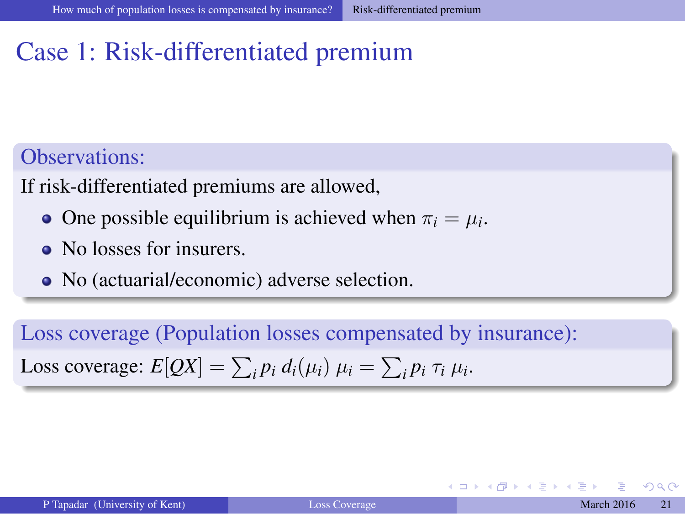### Case 1: Risk-differentiated premium

#### Observations:

If risk-differentiated premiums are allowed,

- One possible equilibrium is achieved when  $\pi_i = \mu_i$ .
- No losses for insurers.
- No (actuarial/economic) adverse selection.

Loss coverage (Population losses compensated by insurance): Loss coverage:  $E[QX] = \sum_i p_i d_i(\mu_i) \mu_i = \sum_i p_i \tau_i \mu_i$ .

<span id="page-21-0"></span>(□ ) ( )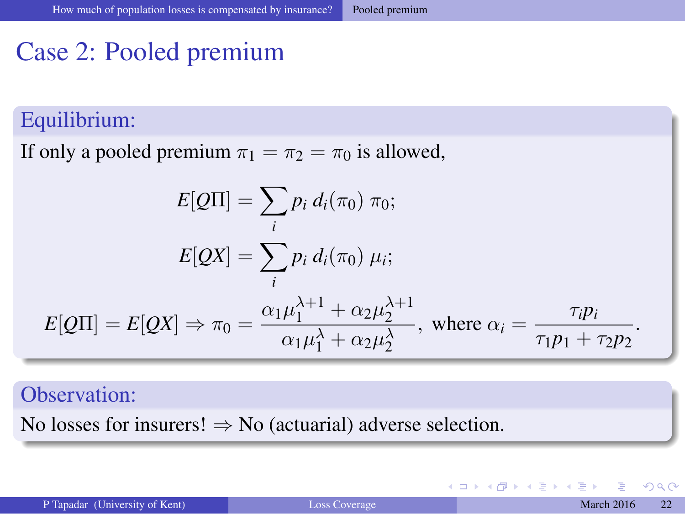### Case 2: Pooled premium

#### Equilibrium:

If only a pooled premium  $\pi_1 = \pi_2 = \pi_0$  is allowed,

$$
E[Q\Pi] = \sum_{i} p_i d_i(\pi_0) \pi_0;
$$
  
\n
$$
E[QX] = \sum_{i} p_i d_i(\pi_0) \mu_i;
$$
  
\n
$$
E[Q\Pi] = E[QX] \Rightarrow \pi_0 = \frac{\alpha_1 \mu_1^{\lambda+1} + \alpha_2 \mu_2^{\lambda+1}}{\alpha_1 \mu_1^{\lambda} + \alpha_2 \mu_2^{\lambda}}, \text{ where } \alpha_i = \frac{\tau_i p_i}{\tau_1 p_1 + \tau_2 p_2}.
$$

#### Observation:

No losses for insurers!  $\Rightarrow$  No (actuarial) adverse selection.

<span id="page-22-0"></span> $\mathbb{R}^n \times \mathbb{R}^n \xrightarrow{\sim} \mathbb{R}^n \times \mathbb{R}^n$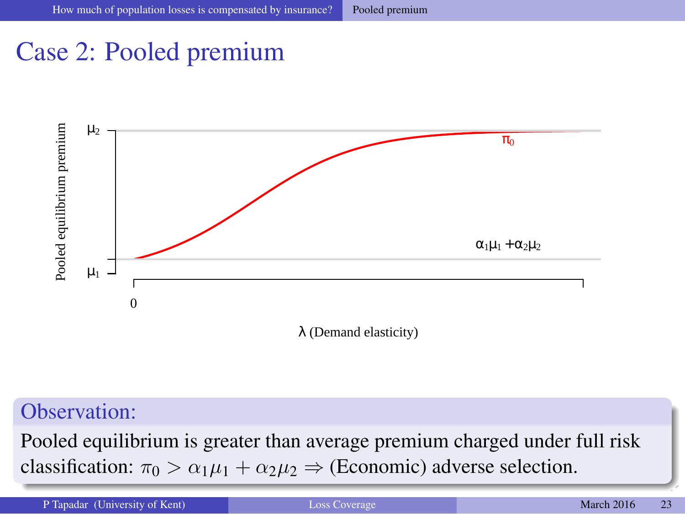### Case 2: Pooled premium



#### Observation:

Pooled equilibrium is greater than average premium charged under full risk [c](#page-21-0)lassifica[ti](#page-23-0)[o](#page-24-0)[n](#page-16-0):  $\pi_0 > \alpha_1 \mu_1 + \alpha_2 \mu_2 \Rightarrow$  (Economic) a[dv](#page-21-0)[ers](#page-23-0)[e](#page-20-0) [s](#page-22-0)[el](#page-23-0)ection[.](#page-17-0)

<span id="page-23-0"></span>P Tapadar (University of Kent) [Loss Coverage](#page-0-0) March 2016 23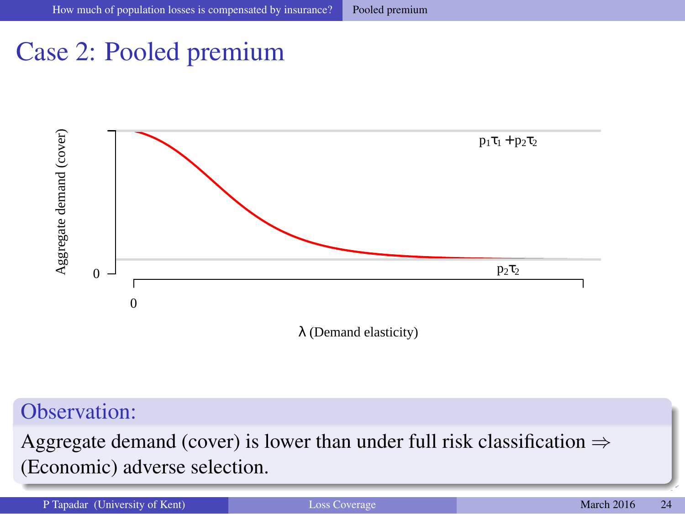### Case 2: Pooled premium



#### Observation:

Aggregate demand (cover) is lower than under full risk classification  $\Rightarrow$ (Economic) adverse selection.

<span id="page-24-0"></span>P Tapadar (University of Kent) **[Loss Coverage](#page-0-0)** March 2016 24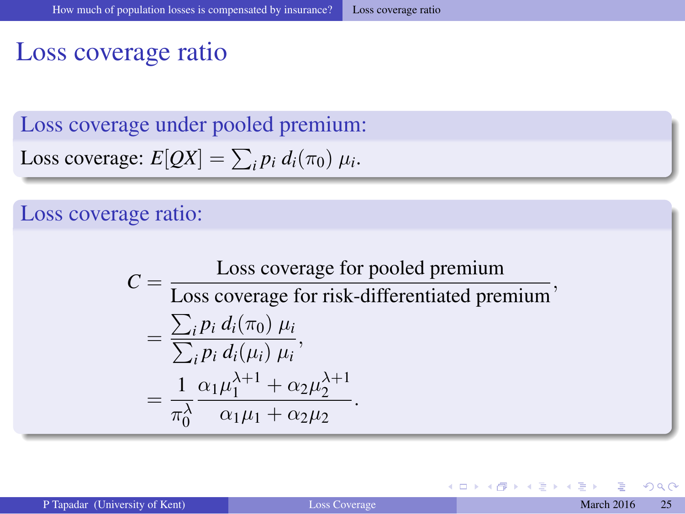#### Loss coverage ratio

Loss coverage under pooled premium:

Loss coverage: 
$$
E[QX] = \sum_i p_i d_i(\pi_0) \mu_i
$$
.

#### Loss coverage ratio:

$$
C = \frac{\text{Loss coverage for pooled premium}}{\text{Loss coverage for risk-differentiated premium}},
$$
  
= 
$$
\frac{\sum_{i} p_{i} d_{i}(\pi_{0}) \mu_{i}}{\sum_{i} p_{i} d_{i}(\mu_{i}) \mu_{i}},
$$
  
= 
$$
\frac{1}{\pi_{0}^{\lambda}} \frac{\alpha_{1} \mu_{1}^{\lambda+1} + \alpha_{2} \mu_{2}^{\lambda+1}}{\alpha_{1} \mu_{1} + \alpha_{2} \mu_{2}}.
$$

-41 ЭX.  $\mathcal{A}$  <span id="page-25-0"></span> $QQ$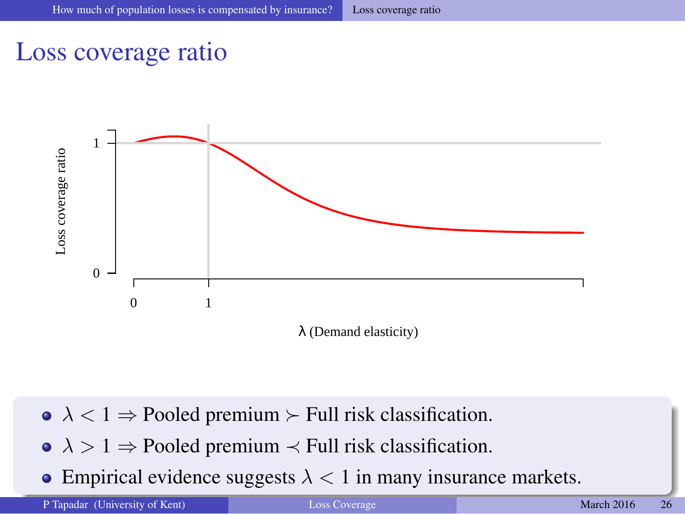#### Loss coverage ratio



- $\lambda < 1$   $\Rightarrow$  Pooled premium  $\succ$  Full risk classification.
- $\lambda > 1 \Rightarrow$  Pooled premium  $\prec$  Full risk classification.
- Empirical evide[n](#page-24-0)[ce](#page-25-0) sugg[e](#page-26-0)s[t](#page-16-0)s  $\lambda$  $\lambda$  $\lambda$  < 1 in many i[nsu](#page-24-0)[ra](#page-26-0)nce [m](#page-26-0)a[r](#page-24-0)[k](#page-25-0)et[s.](#page-17-0)

P Tapadar (University of Kent) **[Loss Coverage](#page-0-0)** March 2016 26

<span id="page-26-0"></span>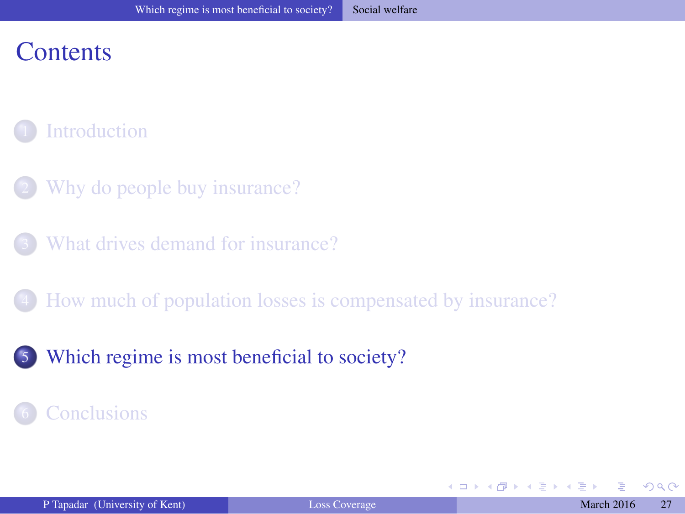### **Contents**

#### **[Introduction](#page-1-0)**

- [Why do people buy insurance?](#page-5-0)
- [What drives demand for insurance?](#page-11-0)
- 4 [How much of population losses is compensated by insurance?](#page-17-0)
- [Which regime is most beneficial to society?](#page-26-0)

#### **[Conclusions](#page-28-0)**

<span id="page-27-0"></span>4 0 8 4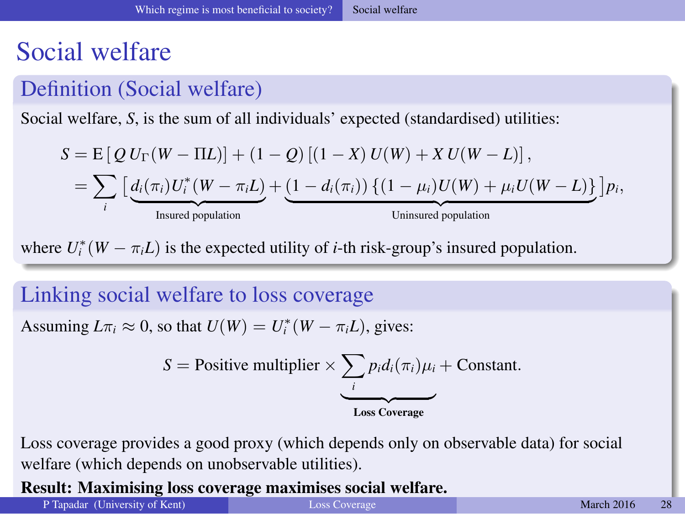### Social welfare

#### Definition (Social welfare)

Social welfare, *S*, is the sum of all individuals' expected (standardised) utilities:

$$
S = E [ Q U_{\Gamma} (W - \Pi L) ] + (1 - Q) [(1 - X) U(W) + X U(W - L) ],
$$
  
= 
$$
\sum_{i} [\underbrace{d_i(\pi_i) U_i^* (W - \pi_i L)}_{\text{Insured population}} + \underbrace{(1 - d_i(\pi_i)) \{ (1 - \mu_i) U(W) + \mu_i U(W - L) \}}_{\text{Uninsured population}} ] p_i,
$$

where  $U_i^*(W - \pi_i L)$  is the expected utility of *i*-th risk-group's insured population.

#### Linking social welfare to loss coverage

Assuming  $L\pi_i \approx 0$ , so that  $U(W) = U_i^*(W - \pi_i L)$ , gives:

$$
S = \text{Positive multiplier} \times \underbrace{\sum_{i} p_i d_i(\pi_i) \mu_i}_{\text{Loss} \text{ coverage}} + \text{Constant}.
$$

Loss coverage provides a good proxy (which depends only on observable data) for social welfare (which depends on unobservable utilities).

Result: Maximising loss coverage maximises social welfar[e.](#page-26-0)

P Tapadar (University of Kent) **[Loss Coverage](#page-0-0) March 2016** 28

<span id="page-28-0"></span>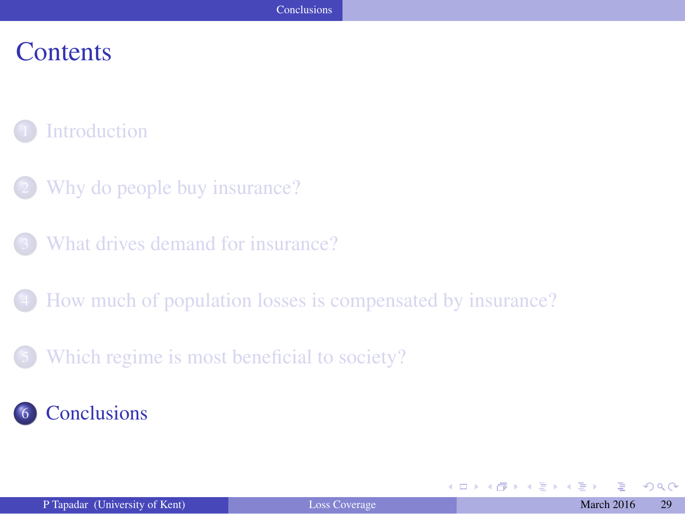#### **Contents**

#### **[Introduction](#page-1-0)**

- [Why do people buy insurance?](#page-5-0)
- [What drives demand for insurance?](#page-11-0)
- 4 [How much of population losses is compensated by insurance?](#page-17-0)
- [Which regime is most beneficial to society?](#page-26-0)

#### **[Conclusions](#page-28-0)**

4 0 8 4

<span id="page-29-0"></span>**Barbara**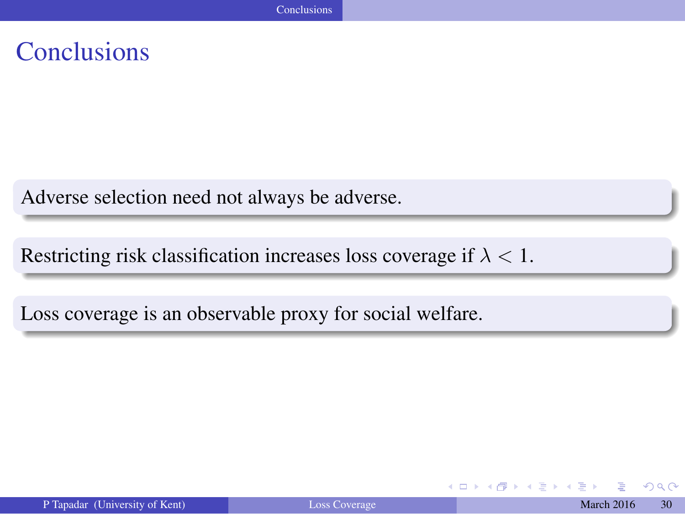### **Conclusions**

Adverse selection need not always be adverse.

Restricting risk classification increases loss coverage if  $\lambda < 1$ .

Loss coverage is an observable proxy for social welfare.

4. 0. 3

<span id="page-30-0"></span> $QQ$